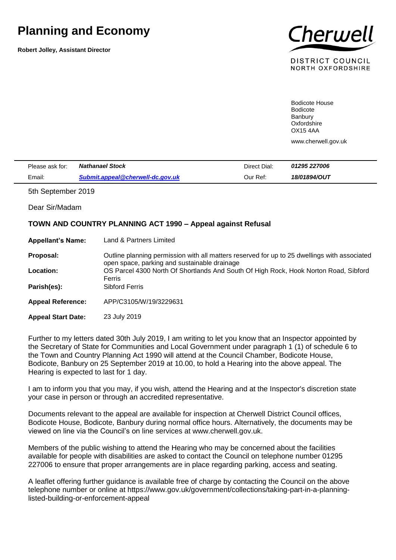## **Planning and Economy**

**Robert Jolley, Assistant Director**



DISTRICT COUNCIL **NORTH OXFORDSHIRE** 

Bodicote House Bodicote Banbury **Oxfordshire** OX15 4AA

www.cherwell.gov.uk

| Please ask for: | <b>Nathanael Stock</b>           | Direct Dial: | <i><b>01295 227006</b></i> |
|-----------------|----------------------------------|--------------|----------------------------|
| Email:          | Submit.appeal@cherwell-dc.gov.uk | Our Ref:     | 18/01894/OUT               |

5th September 2019

Dear Sir/Madam

## **TOWN AND COUNTRY PLANNING ACT 1990 – Appeal against Refusal**

**Appellant's Name:** Land & Partners Limited

**Proposal:** Outline planning permission with all matters reserved for up to 25 dwellings with associated open space, parking and sustainable drainage **Location:** OS Parcel 4300 North Of Shortlands And South Of High Rock, Hook Norton Road, Sibford Ferris

Parish(es): Sibford Ferris

**Appeal Reference:** APP/C3105/W/19/3229631

**Appeal Start Date:** 23 July 2019

Further to my letters dated 30th July 2019, I am writing to let you know that an Inspector appointed by the Secretary of State for Communities and Local Government under paragraph 1 (1) of schedule 6 to the Town and Country Planning Act 1990 will attend at the Council Chamber, Bodicote House, Bodicote, Banbury on 25 September 2019 at 10.00, to hold a Hearing into the above appeal. The Hearing is expected to last for 1 day.

I am to inform you that you may, if you wish, attend the Hearing and at the Inspector's discretion state your case in person or through an accredited representative.

Documents relevant to the appeal are available for inspection at Cherwell District Council offices, Bodicote House, Bodicote, Banbury during normal office hours. Alternatively, the documents may be viewed on line via the Council's on line services at www.cherwell.gov.uk.

Members of the public wishing to attend the Hearing who may be concerned about the facilities available for people with disabilities are asked to contact the Council on telephone number 01295 227006 to ensure that proper arrangements are in place regarding parking, access and seating.

A leaflet offering further guidance is available free of charge by contacting the Council on the above telephone number or online at https://www.gov.uk/government/collections/taking-part-in-a-planninglisted-building-or-enforcement-appeal